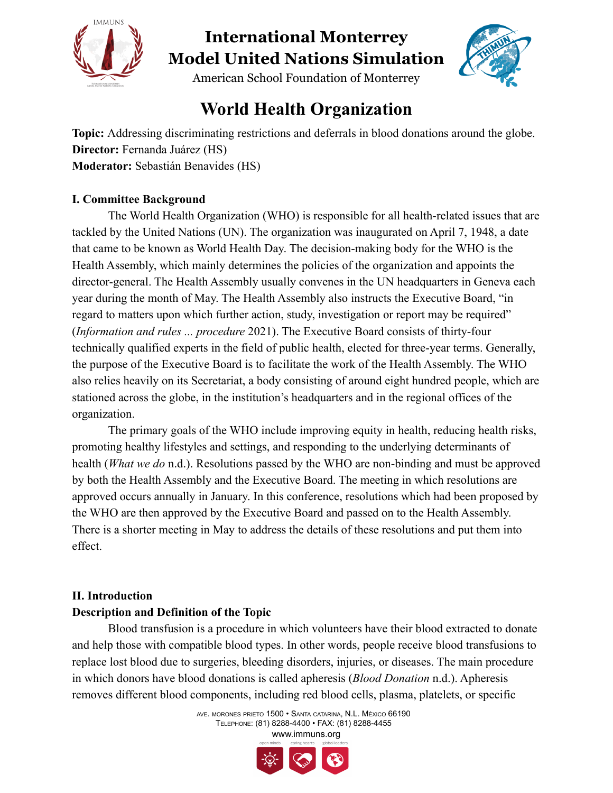



American School Foundation of Monterrey

### **World Health Organization**

**Topic:** Addressing discriminating restrictions and deferrals in blood donations around the globe. **Director:** Fernanda Juárez (HS) **Moderator:** Sebastián Benavides (HS)

#### **I. Committee Background**

The World Health Organization (WHO) is responsible for all health-related issues that are tackled by the United Nations (UN). The organization was inaugurated on April 7, 1948, a date that came to be known as World Health Day. The decision-making body for the WHO is the Health Assembly, which mainly determines the policies of the organization and appoints the director-general. The Health Assembly usually convenes in the UN headquarters in Geneva each year during the month of May. The Health Assembly also instructs the Executive Board, "in regard to matters upon which further action, study, investigation or report may be required" (*Information and rules ... procedure* 2021). The Executive Board consists of thirty-four technically qualified experts in the field of public health, elected for three-year terms. Generally, the purpose of the Executive Board is to facilitate the work of the Health Assembly. The WHO also relies heavily on its Secretariat, a body consisting of around eight hundred people, which are stationed across the globe, in the institution's headquarters and in the regional offices of the organization.

The primary goals of the WHO include improving equity in health, reducing health risks, promoting healthy lifestyles and settings, and responding to the underlying determinants of health (*What we do* n.d.). Resolutions passed by the WHO are non-binding and must be approved by both the Health Assembly and the Executive Board. The meeting in which resolutions are approved occurs annually in January. In this conference, resolutions which had been proposed by the WHO are then approved by the Executive Board and passed on to the Health Assembly. There is a shorter meeting in May to address the details of these resolutions and put them into effect.

#### **II. Introduction**

#### **Description and Definition of the Topic**

Blood transfusion is a procedure in which volunteers have their blood extracted to donate and help those with compatible blood types. In other words, people receive blood transfusions to replace lost blood due to surgeries, bleeding disorders, injuries, or diseases. The main procedure in which donors have blood donations is called apheresis (*Blood Donation* n.d.). Apheresis removes different blood components, including red blood cells, plasma, platelets, or specific

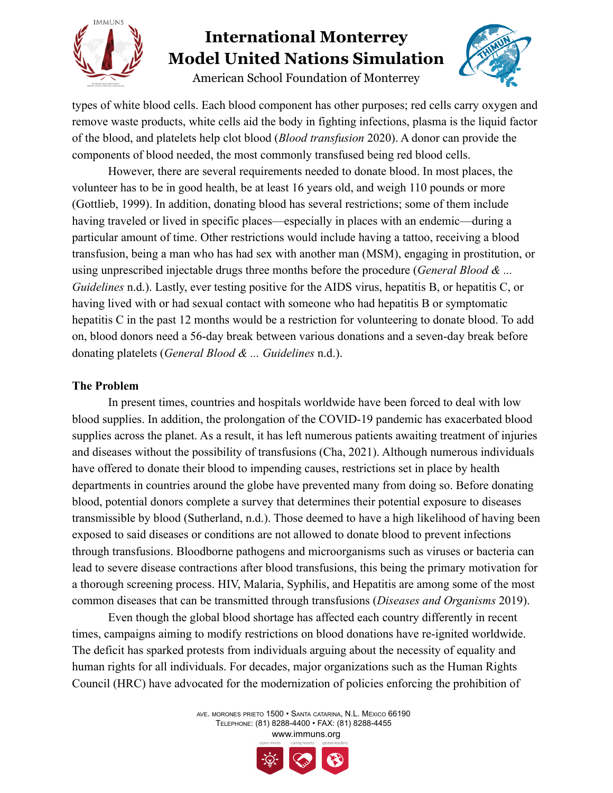

American School Foundation of Monterrey



types of white blood cells. Each blood component has other purposes; red cells carry oxygen and remove waste products, white cells aid the body in fighting infections, plasma is the liquid factor of the blood, and platelets help clot blood (*Blood transfusion* 2020). A donor can provide the components of blood needed, the most commonly transfused being red blood cells.

However, there are several requirements needed to donate blood. In most places, the volunteer has to be in good health, be at least 16 years old, and weigh 110 pounds or more (Gottlieb, 1999). In addition, donating blood has several restrictions; some of them include having traveled or lived in specific places—especially in places with an endemic—during a particular amount of time. Other restrictions would include having a tattoo, receiving a blood transfusion, being a man who has had sex with another man (MSM), engaging in prostitution, or using unprescribed injectable drugs three months before the procedure (*General Blood & ... Guidelines* n.d.). Lastly, ever testing positive for the AIDS virus, hepatitis B, or hepatitis C, or having lived with or had sexual contact with someone who had hepatitis B or symptomatic hepatitis C in the past 12 months would be a restriction for volunteering to donate blood. To add on, blood donors need a 56-day break between various donations and a seven-day break before donating platelets (*General Blood & ... Guidelines* n.d.).

#### **The Problem**

In present times, countries and hospitals worldwide have been forced to deal with low blood supplies. In addition, the prolongation of the COVID-19 pandemic has exacerbated blood supplies across the planet. As a result, it has left numerous patients awaiting treatment of injuries and diseases without the possibility of transfusions (Cha, 2021). Although numerous individuals have offered to donate their blood to impending causes, restrictions set in place by health departments in countries around the globe have prevented many from doing so. Before donating blood, potential donors complete a survey that determines their potential exposure to diseases transmissible by blood (Sutherland, n.d.). Those deemed to have a high likelihood of having been exposed to said diseases or conditions are not allowed to donate blood to prevent infections through transfusions. Bloodborne pathogens and microorganisms such as viruses or bacteria can lead to severe disease contractions after blood transfusions, this being the primary motivation for a thorough screening process. HIV, Malaria, Syphilis, and Hepatitis are among some of the most common diseases that can be transmitted through transfusions (*Diseases and Organisms* 2019).

Even though the global blood shortage has affected each country differently in recent times, campaigns aiming to modify restrictions on blood donations have re-ignited worldwide. The deficit has sparked protests from individuals arguing about the necessity of equality and human rights for all individuals. For decades, major organizations such as the Human Rights Council (HRC) have advocated for the modernization of policies enforcing the prohibition of

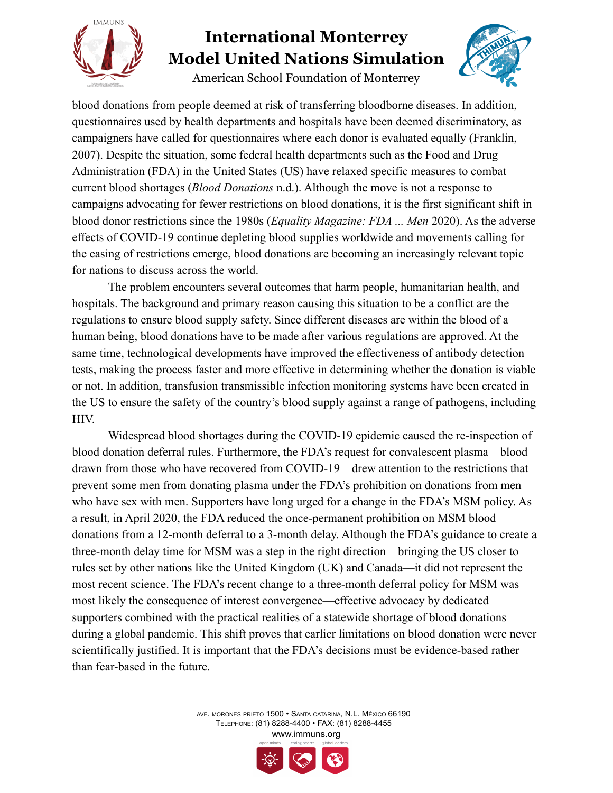

American School Foundation of Monterrey



blood donations from people deemed at risk of transferring bloodborne diseases. In addition, questionnaires used by health departments and hospitals have been deemed discriminatory, as campaigners have called for questionnaires where each donor is evaluated equally (Franklin, 2007). Despite the situation, some federal health departments such as the Food and Drug Administration (FDA) in the United States (US) have relaxed specific measures to combat current blood shortages (*Blood Donations* n.d.). Although the move is not a response to campaigns advocating for fewer restrictions on blood donations, it is the first significant shift in blood donor restrictions since the 1980s (*Equality Magazine: FDA ... Men* 2020). As the adverse effects of COVID-19 continue depleting blood supplies worldwide and movements calling for the easing of restrictions emerge, blood donations are becoming an increasingly relevant topic for nations to discuss across the world.

The problem encounters several outcomes that harm people, humanitarian health, and hospitals. The background and primary reason causing this situation to be a conflict are the regulations to ensure blood supply safety. Since different diseases are within the blood of a human being, blood donations have to be made after various regulations are approved. At the same time, technological developments have improved the effectiveness of antibody detection tests, making the process faster and more effective in determining whether the donation is viable or not. In addition, transfusion transmissible infection monitoring systems have been created in the US to ensure the safety of the country's blood supply against a range of pathogens, including HIV.

Widespread blood shortages during the COVID-19 epidemic caused the re-inspection of blood donation deferral rules. Furthermore, the FDA's request for convalescent plasma—blood drawn from those who have recovered from COVID-19—drew attention to the restrictions that prevent some men from donating plasma under the FDA's prohibition on donations from men who have sex with men. Supporters have long urged for a change in the FDA's MSM policy. As a result, in April 2020, the FDA reduced the once-permanent prohibition on MSM blood donations from a 12-month deferral to a 3-month delay. Although the FDA's guidance to create a three-month delay time for MSM was a step in the right direction—bringing the US closer to rules set by other nations like the United Kingdom (UK) and Canada—it did not represent the most recent science. The FDA's recent change to a three-month deferral policy for MSM was most likely the consequence of interest convergence—effective advocacy by dedicated supporters combined with the practical realities of a statewide shortage of blood donations during a global pandemic. This shift proves that earlier limitations on blood donation were never scientifically justified. It is important that the FDA's decisions must be evidence-based rather than fear-based in the future.

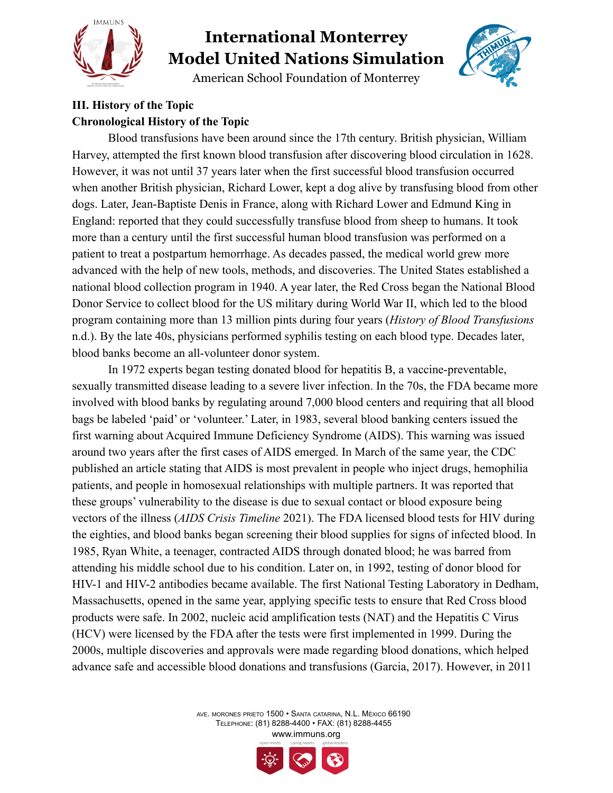

American School Foundation of Monterrey



#### **III. History of the Topic Chronological History of the Topic**

Blood transfusions have been around since the 17th century. British physician, William Harvey, attempted the first known blood transfusion after discovering blood circulation in 1628. However, it was not until 37 years later when the first successful blood transfusion occurred when another British physician, Richard Lower, kept a dog alive by transfusing blood from other dogs. Later, Jean-Baptiste Denis in France, along with Richard Lower and Edmund King in England: reported that they could successfully transfuse blood from sheep to humans. It took more than a century until the first successful human blood transfusion was performed on a patient to treat a postpartum hemorrhage. As decades passed, the medical world grew more advanced with the help of new tools, methods, and discoveries. The United States established a national blood collection program in 1940. A year later, the Red Cross began the National Blood Donor Service to collect blood for the US military during World War II, which led to the blood program containing more than 13 million pints during four years (*History of Blood Transfusions* n.d.). By the late 40s, physicians performed syphilis testing on each blood type. Decades later, blood banks become an all-volunteer donor system.

In 1972 experts began testing donated blood for hepatitis B, a vaccine-preventable, sexually transmitted disease leading to a severe liver infection. In the 70s, the FDA became more involved with blood banks by regulating around 7,000 blood centers and requiring that all blood bags be labeled 'paid' or 'volunteer.' Later, in 1983, several blood banking centers issued the first warning about Acquired Immune Deficiency Syndrome (AIDS). This warning was issued around two years after the first cases of AIDS emerged. In March of the same year, the CDC published an article stating that AIDS is most prevalent in people who inject drugs, hemophilia patients, and people in homosexual relationships with multiple partners. It was reported that these groups' vulnerability to the disease is due to sexual contact or blood exposure being vectors of the illness (*AIDS Crisis Timeline* 2021). The FDA licensed blood tests for HIV during the eighties, and blood banks began screening their blood supplies for signs of infected blood. In 1985, Ryan White, a teenager, contracted AIDS through donated blood; he was barred from attending his middle school due to his condition. Later on, in 1992, testing of donor blood for HIV-1 and HIV-2 antibodies became available. The first National Testing Laboratory in Dedham, Massachusetts, opened in the same year, applying specific tests to ensure that Red Cross blood products were safe. In 2002, nucleic acid amplification tests (NAT) and the Hepatitis C Virus (HCV) were licensed by the FDA after the tests were first implemented in 1999. During the 2000s, multiple discoveries and approvals were made regarding blood donations, which helped advance safe and accessible blood donations and transfusions (Garcia, 2017). However, in 2011

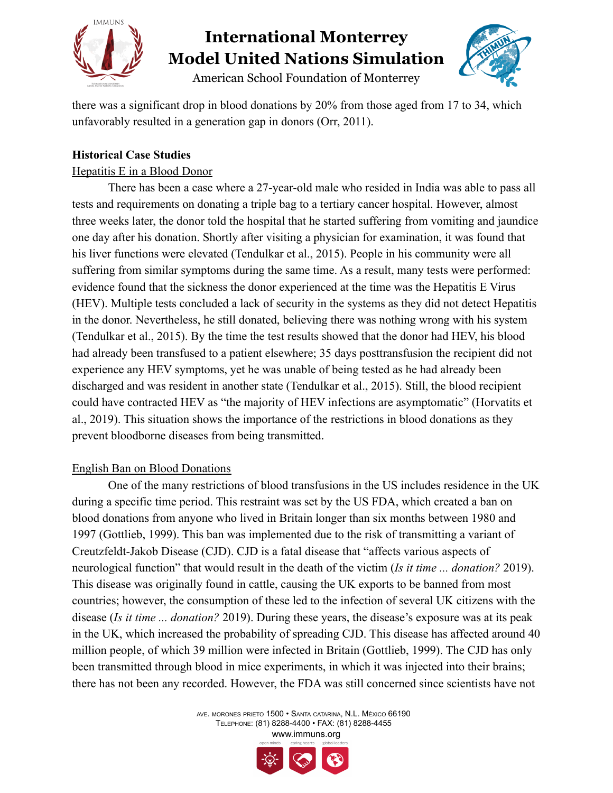



American School Foundation of Monterrey

there was a significant drop in blood donations by 20% from those aged from 17 to 34, which unfavorably resulted in a generation gap in donors (Orr, 2011).

#### **Historical Case Studies**

#### Hepatitis E in a Blood Donor

There has been a case where a 27-year-old male who resided in India was able to pass all tests and requirements on donating a triple bag to a tertiary cancer hospital. However, almost three weeks later, the donor told the hospital that he started suffering from vomiting and jaundice one day after his donation. Shortly after visiting a physician for examination, it was found that his liver functions were elevated (Tendulkar et al., 2015). People in his community were all suffering from similar symptoms during the same time. As a result, many tests were performed: evidence found that the sickness the donor experienced at the time was the Hepatitis E Virus (HEV). Multiple tests concluded a lack of security in the systems as they did not detect Hepatitis in the donor. Nevertheless, he still donated, believing there was nothing wrong with his system (Tendulkar et al., 2015). By the time the test results showed that the donor had HEV, his blood had already been transfused to a patient elsewhere; 35 days posttransfusion the recipient did not experience any HEV symptoms, yet he was unable of being tested as he had already been discharged and was resident in another state (Tendulkar et al., 2015). Still, the blood recipient could have contracted HEV as "the majority of HEV infections are asymptomatic" (Horvatits et al., 2019). This situation shows the importance of the restrictions in blood donations as they prevent bloodborne diseases from being transmitted.

#### English Ban on Blood Donations

One of the many restrictions of blood transfusions in the US includes residence in the UK during a specific time period. This restraint was set by the US FDA, which created a ban on blood donations from anyone who lived in Britain longer than six months between 1980 and 1997 (Gottlieb, 1999). This ban was implemented due to the risk of transmitting a variant of Creutzfeldt-Jakob Disease (CJD). CJD is a fatal disease that "affects various aspects of neurological function" that would result in the death of the victim (*Is it time ... donation?* 2019). This disease was originally found in cattle, causing the UK exports to be banned from most countries; however, the consumption of these led to the infection of several UK citizens with the disease (*Is it time ... donation?* 2019). During these years, the disease's exposure was at its peak in the UK, which increased the probability of spreading CJD. This disease has affected around 40 million people, of which 39 million were infected in Britain (Gottlieb, 1999). The CJD has only been transmitted through blood in mice experiments, in which it was injected into their brains; there has not been any recorded. However, the FDA was still concerned since scientists have not

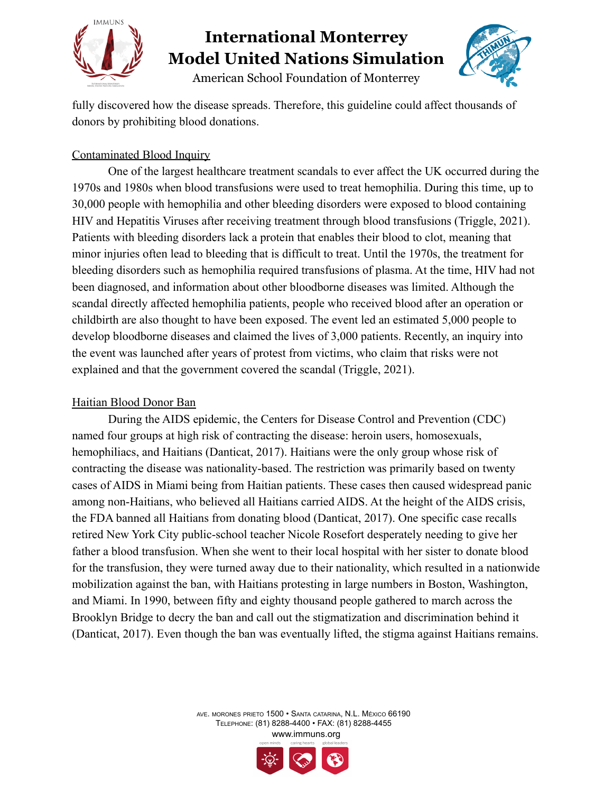

American School Foundation of Monterrey



fully discovered how the disease spreads. Therefore, this guideline could affect thousands of donors by prohibiting blood donations.

#### Contaminated Blood Inquiry

One of the largest healthcare treatment scandals to ever affect the UK occurred during the 1970s and 1980s when blood transfusions were used to treat hemophilia. During this time, up to 30,000 people with hemophilia and other bleeding disorders were exposed to blood containing HIV and Hepatitis Viruses after receiving treatment through blood transfusions (Triggle, 2021). Patients with bleeding disorders lack a protein that enables their blood to clot, meaning that minor injuries often lead to bleeding that is difficult to treat. Until the 1970s, the treatment for bleeding disorders such as hemophilia required transfusions of plasma. At the time, HIV had not been diagnosed, and information about other bloodborne diseases was limited. Although the scandal directly affected hemophilia patients, people who received blood after an operation or childbirth are also thought to have been exposed. The event led an estimated 5,000 people to develop bloodborne diseases and claimed the lives of 3,000 patients. Recently, an inquiry into the event was launched after years of protest from victims, who claim that risks were not explained and that the government covered the scandal (Triggle, 2021).

#### Haitian Blood Donor Ban

During the AIDS epidemic, the Centers for Disease Control and Prevention (CDC) named four groups at high risk of contracting the disease: heroin users, homosexuals, hemophiliacs, and Haitians (Danticat, 2017). Haitians were the only group whose risk of contracting the disease was nationality-based. The restriction was primarily based on twenty cases of AIDS in Miami being from Haitian patients. These cases then caused widespread panic among non-Haitians, who believed all Haitians carried AIDS. At the height of the AIDS crisis, the FDA banned all Haitians from donating blood (Danticat, 2017). One specific case recalls retired New York City public-school teacher Nicole Rosefort desperately needing to give her father a blood transfusion. When she went to their local hospital with her sister to donate blood for the transfusion, they were turned away due to their nationality, which resulted in a nationwide mobilization against the ban, with Haitians protesting in large numbers in Boston, Washington, and Miami. In 1990, between fifty and eighty thousand people gathered to march across the Brooklyn Bridge to decry the ban and call out the stigmatization and discrimination behind it (Danticat, 2017). Even though the ban was eventually lifted, the stigma against Haitians remains.

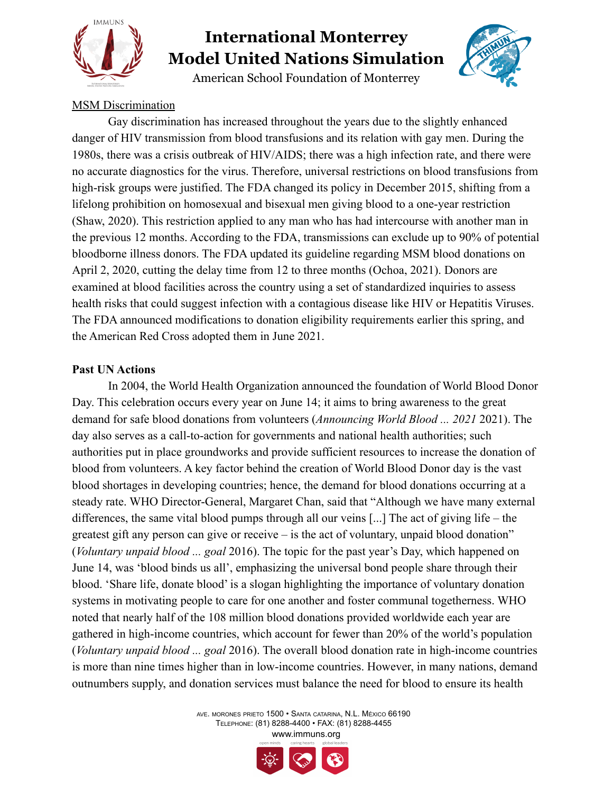

American School Foundation of Monterrey



#### MSM Discrimination

Gay discrimination has increased throughout the years due to the slightly enhanced danger of HIV transmission from blood transfusions and its relation with gay men. During the 1980s, there was a crisis outbreak of HIV/AIDS; there was a high infection rate, and there were no accurate diagnostics for the virus. Therefore, universal restrictions on blood transfusions from high-risk groups were justified. The FDA changed its policy in December 2015, shifting from a lifelong prohibition on homosexual and bisexual men giving blood to a one-year restriction (Shaw, 2020). This restriction applied to any man who has had intercourse with another man in the previous 12 months. According to the FDA, transmissions can exclude up to 90% of potential bloodborne illness donors. The FDA updated its guideline regarding MSM blood donations on April 2, 2020, cutting the delay time from 12 to three months (Ochoa, 2021). Donors are examined at blood facilities across the country using a set of standardized inquiries to assess health risks that could suggest infection with a contagious disease like HIV or Hepatitis Viruses. The FDA announced modifications to donation eligibility requirements earlier this spring, and the American Red Cross adopted them in June 2021.

#### **Past UN Actions**

In 2004, the World Health Organization announced the foundation of World Blood Donor Day. This celebration occurs every year on June 14; it aims to bring awareness to the great demand for safe blood donations from volunteers (*Announcing World Blood ... 2021* 2021). The day also serves as a call-to-action for governments and national health authorities; such authorities put in place groundworks and provide sufficient resources to increase the donation of blood from volunteers. A key factor behind the creation of World Blood Donor day is the vast blood shortages in developing countries; hence, the demand for blood donations occurring at a steady rate. WHO Director-General, Margaret Chan, said that "Although we have many external differences, the same vital blood pumps through all our veins [...] The act of giving life – the greatest gift any person can give or receive – is the act of voluntary, unpaid blood donation" (*Voluntary unpaid blood ... goal* 2016). The topic for the past year's Day, which happened on June 14, was 'blood binds us all', emphasizing the universal bond people share through their blood. 'Share life, donate blood' is a slogan highlighting the importance of voluntary donation systems in motivating people to care for one another and foster communal togetherness. WHO noted that nearly half of the 108 million blood donations provided worldwide each year are gathered in high-income countries, which account for fewer than 20% of the world's population (*Voluntary unpaid blood ... goal* 2016). The overall blood donation rate in high-income countries is more than nine times higher than in low-income countries. However, in many nations, demand outnumbers supply, and donation services must balance the need for blood to ensure its health

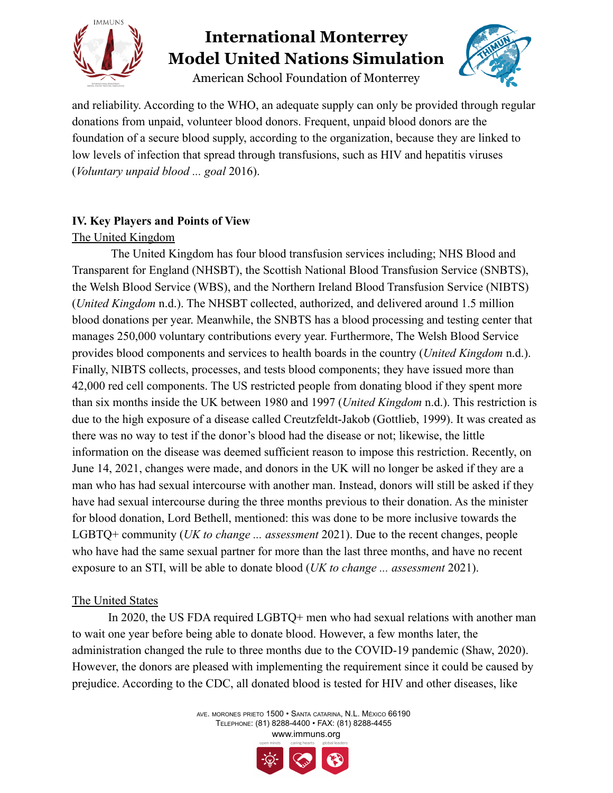

American School Foundation of Monterrey



and reliability. According to the WHO, an adequate supply can only be provided through regular donations from unpaid, volunteer blood donors. Frequent, unpaid blood donors are the foundation of a secure blood supply, according to the organization, because they are linked to low levels of infection that spread through transfusions, such as HIV and hepatitis viruses (*Voluntary unpaid blood ... goal* 2016).

#### **IV. Key Players and Points of View**

#### The United Kingdom

The United Kingdom has four blood transfusion services including; NHS Blood and Transparent for England (NHSBT), the Scottish National Blood Transfusion Service (SNBTS), the Welsh Blood Service (WBS), and the Northern Ireland Blood Transfusion Service (NIBTS) (*United Kingdom* n.d.). The NHSBT collected, authorized, and delivered around 1.5 million blood donations per year. Meanwhile, the SNBTS has a blood processing and testing center that manages 250,000 voluntary contributions every year. Furthermore, The Welsh Blood Service provides blood components and services to health boards in the country (*United Kingdom* n.d.). Finally, NIBTS collects, processes, and tests blood components; they have issued more than 42,000 red cell components. The US restricted people from donating blood if they spent more than six months inside the UK between 1980 and 1997 (*United Kingdom* n.d.). This restriction is due to the high exposure of a disease called Creutzfeldt-Jakob (Gottlieb, 1999). It was created as there was no way to test if the donor's blood had the disease or not; likewise, the little information on the disease was deemed sufficient reason to impose this restriction. Recently, on June 14, 2021, changes were made, and donors in the UK will no longer be asked if they are a man who has had sexual intercourse with another man. Instead, donors will still be asked if they have had sexual intercourse during the three months previous to their donation. As the minister for blood donation, Lord Bethell, mentioned: this was done to be more inclusive towards the LGBTQ+ community (*UK to change ... assessment* 2021). Due to the recent changes, people who have had the same sexual partner for more than the last three months, and have no recent exposure to an STI, will be able to donate blood (*UK to change ... assessment* 2021).

#### The United States

In 2020, the US FDA required LGBTQ+ men who had sexual relations with another man to wait one year before being able to donate blood. However, a few months later, the administration changed the rule to three months due to the COVID-19 pandemic (Shaw, 2020). However, the donors are pleased with implementing the requirement since it could be caused by prejudice. According to the CDC, all donated blood is tested for HIV and other diseases, like

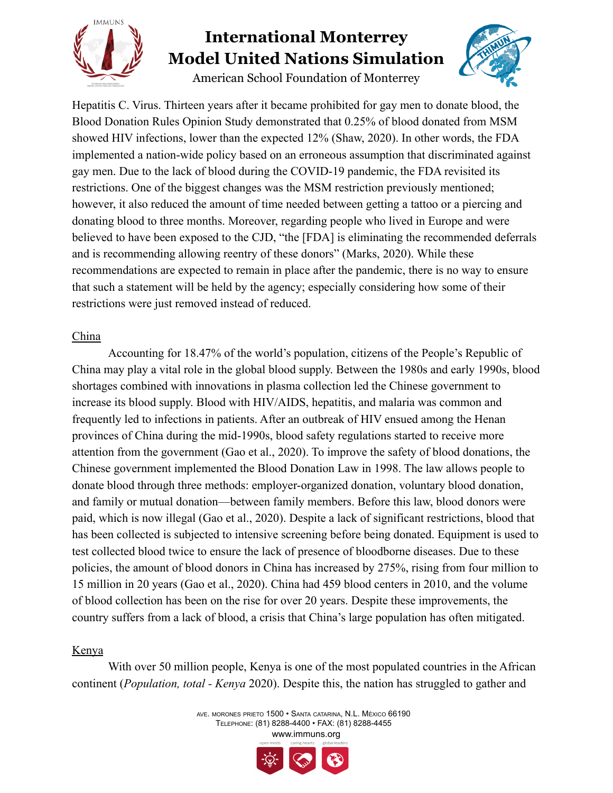

American School Foundation of Monterrey



Hepatitis C. Virus. Thirteen years after it became prohibited for gay men to donate blood, the Blood Donation Rules Opinion Study demonstrated that 0.25% of blood donated from MSM showed HIV infections, lower than the expected 12% (Shaw, 2020). In other words, the FDA implemented a nation-wide policy based on an erroneous assumption that discriminated against gay men. Due to the lack of blood during the COVID-19 pandemic, the FDA revisited its restrictions. One of the biggest changes was the MSM restriction previously mentioned; however, it also reduced the amount of time needed between getting a tattoo or a piercing and donating blood to three months. Moreover, regarding people who lived in Europe and were believed to have been exposed to the CJD, "the [FDA] is eliminating the recommended deferrals and is recommending allowing reentry of these donors" (Marks, 2020). While these recommendations are expected to remain in place after the pandemic, there is no way to ensure that such a statement will be held by the agency; especially considering how some of their restrictions were just removed instead of reduced.

#### China

Accounting for 18.47% of the world's population, citizens of the People's Republic of China may play a vital role in the global blood supply. Between the 1980s and early 1990s, blood shortages combined with innovations in plasma collection led the Chinese government to increase its blood supply. Blood with HIV/AIDS, hepatitis, and malaria was common and frequently led to infections in patients. After an outbreak of HIV ensued among the Henan provinces of China during the mid-1990s, blood safety regulations started to receive more attention from the government (Gao et al., 2020). To improve the safety of blood donations, the Chinese government implemented the Blood Donation Law in 1998. The law allows people to donate blood through three methods: employer-organized donation, voluntary blood donation, and family or mutual donation—between family members. Before this law, blood donors were paid, which is now illegal (Gao et al., 2020). Despite a lack of significant restrictions, blood that has been collected is subjected to intensive screening before being donated. Equipment is used to test collected blood twice to ensure the lack of presence of bloodborne diseases. Due to these policies, the amount of blood donors in China has increased by 275%, rising from four million to 15 million in 20 years (Gao et al., 2020). China had 459 blood centers in 2010, and the volume of blood collection has been on the rise for over 20 years. Despite these improvements, the country suffers from a lack of blood, a crisis that China's large population has often mitigated.

#### Kenya

With over 50 million people. Kenya is one of the most populated countries in the African continent (*Population, total - Kenya* 2020). Despite this, the nation has struggled to gather and

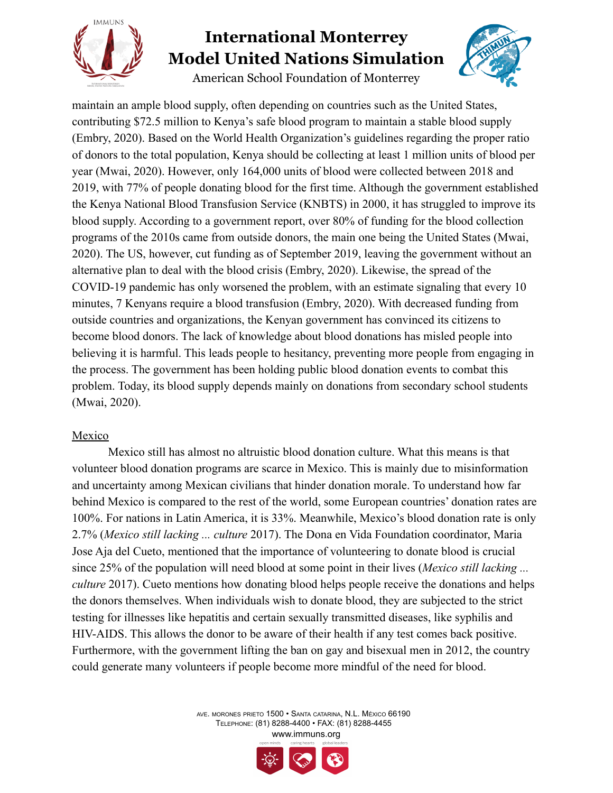

American School Foundation of Monterrey



maintain an ample blood supply, often depending on countries such as the United States, contributing \$72.5 million to Kenya's safe blood program to maintain a stable blood supply (Embry, 2020). Based on the World Health Organization's guidelines regarding the proper ratio of donors to the total population, Kenya should be collecting at least 1 million units of blood per year (Mwai, 2020). However, only 164,000 units of blood were collected between 2018 and 2019, with 77% of people donating blood for the first time. Although the government established the Kenya National Blood Transfusion Service (KNBTS) in 2000, it has struggled to improve its blood supply. According to a government report, over 80% of funding for the blood collection programs of the 2010s came from outside donors, the main one being the United States (Mwai, 2020). The US, however, cut funding as of September 2019, leaving the government without an alternative plan to deal with the blood crisis (Embry, 2020). Likewise, the spread of the COVID-19 pandemic has only worsened the problem, with an estimate signaling that every 10 minutes, 7 Kenyans require a blood transfusion (Embry, 2020). With decreased funding from outside countries and organizations, the Kenyan government has convinced its citizens to become blood donors. The lack of knowledge about blood donations has misled people into believing it is harmful. This leads people to hesitancy, preventing more people from engaging in the process. The government has been holding public blood donation events to combat this problem. Today, its blood supply depends mainly on donations from secondary school students (Mwai, 2020).

#### Mexico

Mexico still has almost no altruistic blood donation culture. What this means is that volunteer blood donation programs are scarce in Mexico. This is mainly due to misinformation and uncertainty among Mexican civilians that hinder donation morale. To understand how far behind Mexico is compared to the rest of the world, some European countries' donation rates are 100%. For nations in Latin America, it is 33%. Meanwhile, Mexico's blood donation rate is only 2.7% (*Mexico still lacking ... culture* 2017). The Dona en Vida Foundation coordinator, Maria Jose Aja del Cueto, mentioned that the importance of volunteering to donate blood is crucial since 25% of the population will need blood at some point in their lives (*Mexico still lacking ... culture* 2017). Cueto mentions how donating blood helps people receive the donations and helps the donors themselves. When individuals wish to donate blood, they are subjected to the strict testing for illnesses like hepatitis and certain sexually transmitted diseases, like syphilis and HIV-AIDS. This allows the donor to be aware of their health if any test comes back positive. Furthermore, with the government lifting the ban on gay and bisexual men in 2012, the country could generate many volunteers if people become more mindful of the need for blood.

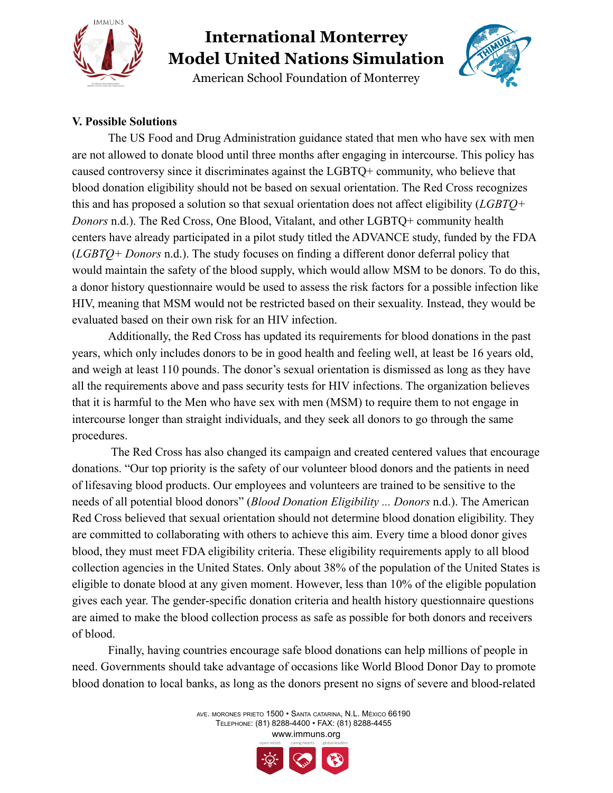

American School Foundation of Monterrey



#### **V. Possible Solutions**

The US Food and Drug Administration guidance stated that men who have sex with men are not allowed to donate blood until three months after engaging in intercourse. This policy has caused controversy since it discriminates against the LGBTQ+ community, who believe that blood donation eligibility should not be based on sexual orientation. The Red Cross recognizes this and has proposed a solution so that sexual orientation does not affect eligibility (*LGBTQ+ Donors* n.d.). The Red Cross, One Blood, Vitalant, and other LGBTQ+ community health centers have already participated in a pilot study titled the ADVANCE study, funded by the FDA (*LGBTQ+ Donors* n.d.). The study focuses on finding a different donor deferral policy that would maintain the safety of the blood supply, which would allow MSM to be donors. To do this, a donor history questionnaire would be used to assess the risk factors for a possible infection like HIV, meaning that MSM would not be restricted based on their sexuality. Instead, they would be evaluated based on their own risk for an HIV infection.

Additionally, the Red Cross has updated its requirements for blood donations in the past years, which only includes donors to be in good health and feeling well, at least be 16 years old, and weigh at least 110 pounds. The donor's sexual orientation is dismissed as long as they have all the requirements above and pass security tests for HIV infections. The organization believes that it is harmful to the Men who have sex with men (MSM) to require them to not engage in intercourse longer than straight individuals, and they seek all donors to go through the same procedures.

The Red Cross has also changed its campaign and created centered values that encourage donations. "Our top priority is the safety of our volunteer blood donors and the patients in need of lifesaving blood products. Our employees and volunteers are trained to be sensitive to the needs of all potential blood donors" (*Blood Donation Eligibility ... Donors* n.d.). The American Red Cross believed that sexual orientation should not determine blood donation eligibility. They are committed to collaborating with others to achieve this aim. Every time a blood donor gives blood, they must meet FDA eligibility criteria. These eligibility requirements apply to all blood collection agencies in the United States. Only about 38% of the population of the United States is eligible to donate blood at any given moment. However, less than 10% of the eligible population gives each year. The gender-specific donation criteria and health history questionnaire questions are aimed to make the blood collection process as safe as possible for both donors and receivers of blood.

Finally, having countries encourage safe blood donations can help millions of people in need. Governments should take advantage of occasions like World Blood Donor Day to promote blood donation to local banks, as long as the donors present no signs of severe and blood-related

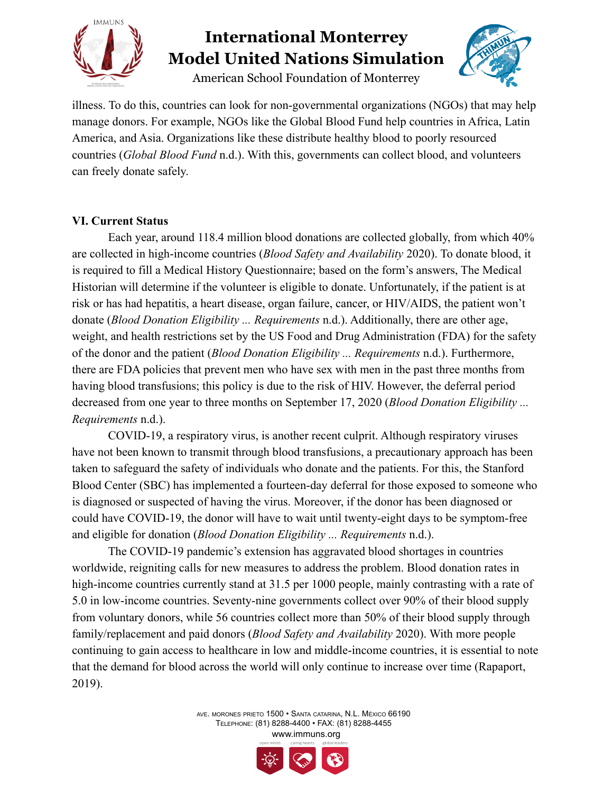

American School Foundation of Monterrey



illness. To do this, countries can look for non-governmental organizations (NGOs) that may help manage donors. For example, NGOs like the Global Blood Fund help countries in Africa, Latin America, and Asia. Organizations like these distribute healthy blood to poorly resourced countries (*Global Blood Fund* n.d.). With this, governments can collect blood, and volunteers can freely donate safely.

#### **VI. Current Status**

Each year, around 118.4 million blood donations are collected globally, from which 40% are collected in high-income countries (*Blood Safety and Availability* 2020). To donate blood, it is required to fill a Medical History Questionnaire; based on the form's answers, The Medical Historian will determine if the volunteer is eligible to donate. Unfortunately, if the patient is at risk or has had hepatitis, a heart disease, organ failure, cancer, or HIV/AIDS, the patient won't donate (*Blood Donation Eligibility ... Requirements* n.d.). Additionally, there are other age, weight, and health restrictions set by the US Food and Drug Administration (FDA) for the safety of the donor and the patient (*Blood Donation Eligibility ... Requirements* n.d.). Furthermore, there are FDA policies that prevent men who have sex with men in the past three months from having blood transfusions; this policy is due to the risk of HIV. However, the deferral period decreased from one year to three months on September 17, 2020 (*Blood Donation Eligibility ... Requirements* n.d.).

COVID-19, a respiratory virus, is another recent culprit. Although respiratory viruses have not been known to transmit through blood transfusions, a precautionary approach has been taken to safeguard the safety of individuals who donate and the patients. For this, the Stanford Blood Center (SBC) has implemented a fourteen-day deferral for those exposed to someone who is diagnosed or suspected of having the virus. Moreover, if the donor has been diagnosed or could have COVID-19, the donor will have to wait until twenty-eight days to be symptom-free and eligible for donation (*Blood Donation Eligibility ... Requirements* n.d.).

The COVID-19 pandemic's extension has aggravated blood shortages in countries worldwide, reigniting calls for new measures to address the problem. Blood donation rates in high-income countries currently stand at 31.5 per 1000 people, mainly contrasting with a rate of 5.0 in low-income countries. Seventy-nine governments collect over 90% of their blood supply from voluntary donors, while 56 countries collect more than 50% of their blood supply through family/replacement and paid donors (*Blood Safety and Availability* 2020). With more people continuing to gain access to healthcare in low and middle-income countries, it is essential to note that the demand for blood across the world will only continue to increase over time (Rapaport, 2019).

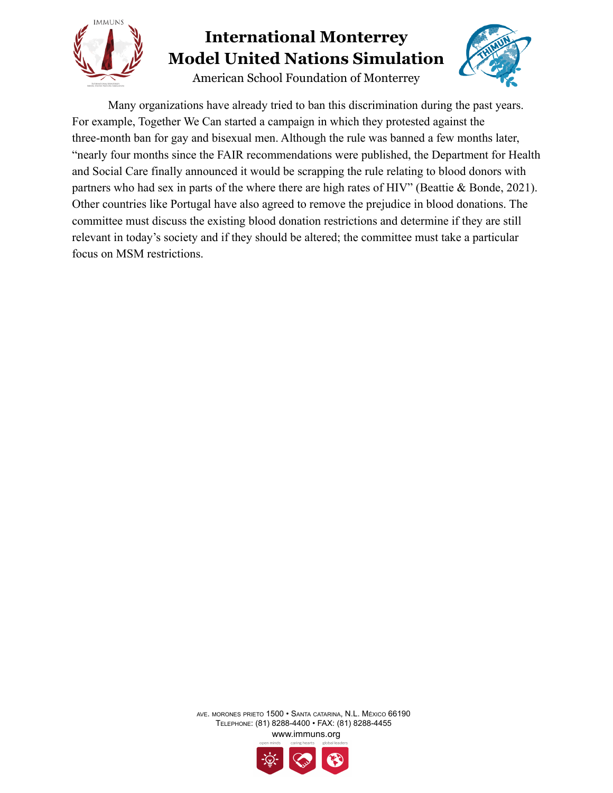

American School Foundation of Monterrey



Many organizations have already tried to ban this discrimination during the past years. For example, Together We Can started a campaign in which they protested against the three-month ban for gay and bisexual men. Although the rule was banned a few months later, "nearly four months since the FAIR recommendations were published, the Department for Health and Social Care finally announced it would be scrapping the rule relating to blood donors with partners who had sex in parts of the where there are high rates of HIV" (Beattie & Bonde, 2021). Other countries like Portugal have also agreed to remove the prejudice in blood donations. The committee must discuss the existing blood donation restrictions and determine if they are still relevant in today's society and if they should be altered; the committee must take a particular focus on MSM restrictions.

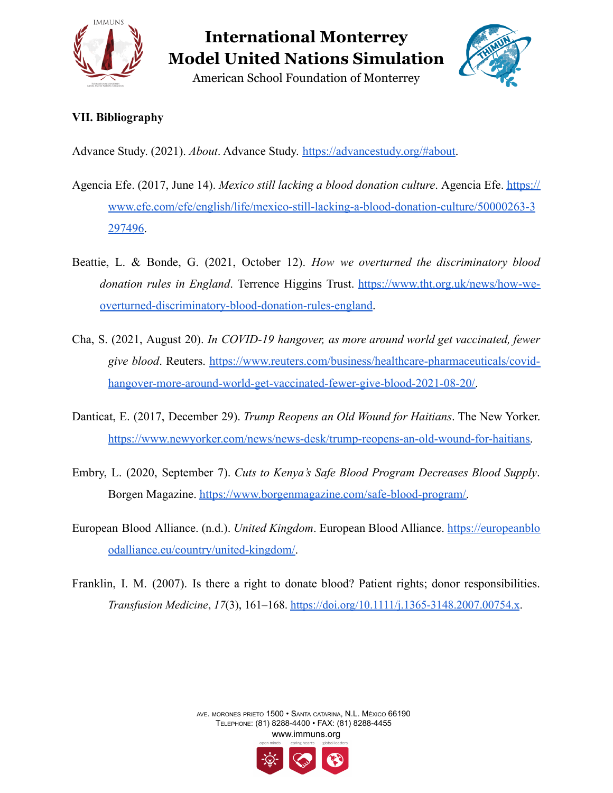

American School Foundation of Monterrey



#### **VII. Bibliography**

Advance Study. (2021). *About*. Advance Study. <https://advancestudy.org/#about>.

- Agencia Efe. (2017, June 14). *Mexico still lacking a blood donation culture*. Agencia Efe. [https://](https://www.efe.com/efe/english/life/mexico-still-lacking-a-blood-donation-culture/50000263-3297496) [www.efe.com/efe/english/life/mexico-still-lacking-a-blood-donation-culture/50000263-3](http://www.efe.com/efe/english/life/mexico-still-lacking-a-blood-donation-culture/50000263-3297496) [297496](http://www.efe.com/efe/english/life/mexico-still-lacking-a-blood-donation-culture/50000263-3297496).
- Beattie, L. & Bonde, G. (2021, October 12). *How we overturned the discriminatory blood donation rules in England*. Terrence Higgins Trust. [https://www.tht.org.uk/news/how-we](https://www.tht.org.uk/news/how-we-overturned-discriminatory-blood-donation-rules-england)[overturned-discriminatory-blood-donation-rules-england](https://www.tht.org.uk/news/how-we-overturned-discriminatory-blood-donation-rules-england).
- Cha, S. (2021, August 20). *In COVID-19 hangover, as more around world get vaccinated, fewer give blood*. Reuters. [https://www.reuters.com/business/healthcare-pharmaceuticals/covid](https://www.reuters.com/business/healthcare-pharmaceuticals/covid-hangover-more-around-world-get-vaccinated-fewer-give-blood-2021-08-20/)[hangover-more-around-world-get-vaccinated-fewer-give-blood-2021-08-20/.](https://www.reuters.com/business/healthcare-pharmaceuticals/covid-hangover-more-around-world-get-vaccinated-fewer-give-blood-2021-08-20/)
- Danticat, E. (2017, December 29). *Trump Reopens an Old Wound for Haitians*. The New Yorker. [https://www.newyorker.com/news/news-desk/trump-reopens-an-old-wound-for-haitians.](https://www.newyorker.com/news/news-desk/trump-reopens-an-old-wound-for-haitians)
- Embry, L. (2020, September 7). *Cuts to Kenya's Safe Blood Program Decreases Blood Supply*. Borgen Magazine. [https://www.borgenmagazine.com/safe-blood-program/.](https://www.borgenmagazine.com/safe-blood-program/)
- European Blood Alliance. (n.d.). *United Kingdom*. European Blood Alliance. [https://europeanblo](https://europeanbloodalliance.eu/country/united-kingdom/) [odalliance.eu/country/united-kingdom/.](https://europeanbloodalliance.eu/country/united-kingdom/)
- Franklin, I. M. (2007). Is there a right to donate blood? Patient rights; donor responsibilities. *Transfusion Medicine*, *17*(3), 161–168. <https://doi.org/10.1111/j.1365-3148.2007.00754.x>.

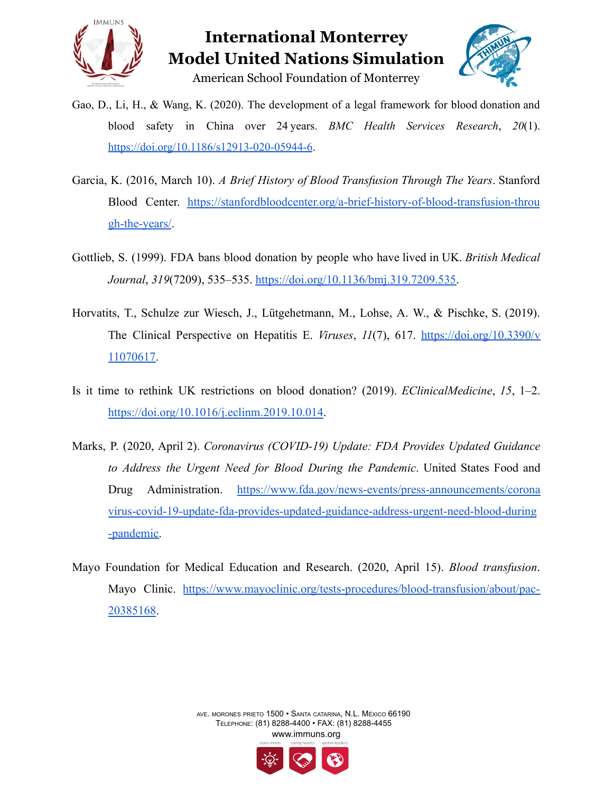



American School Foundation of Monterrey

- Gao, D., Li, H., & Wang, K. (2020). The development of a legal framework for blood donation and blood safety in China over 24 years. *BMC Health Services Research*, *20*(1). <https://doi.org/10.1186/s12913-020-05944-6>.
- Garcia, K. (2016, March 10). *A Brief History of Blood Transfusion Through The Years*. Stanford Blood Center. [https://stanfordbloodcenter.org/a-brief-history-of-blood-transfusion-throu](https://stanfordbloodcenter.org/a-brief-history-of-blood-transfusion-through-the-years/) [gh-the-years/](https://stanfordbloodcenter.org/a-brief-history-of-blood-transfusion-through-the-years/).
- Gottlieb, S. (1999). FDA bans blood donation by people who have lived in UK. *British Medical Journal*, *319*(7209), 535–535. [https://doi.org/10.1136/bmj.319.7209.535.](https://doi.org/10.1136/bmj.319.7209.535)
- Horvatits, T., Schulze zur Wiesch, J., Lütgehetmann, M., Lohse, A. W., & Pischke, S. (2019). The Clinical Perspective on Hepatitis E. *Viruses*, *11*(7), 617. [https://doi.org/10.3390/v](https://doi.org/10.3390/v11070617) [11070617.](https://doi.org/10.3390/v11070617)
- Is it time to rethink UK restrictions on blood donation? (2019). *EClinicalMedicine*, *15*, 1–2. <https://doi.org/10.1016/j.eclinm.2019.10.014>.
- Marks, P. (2020, April 2). *Coronavirus (COVID-19) Update: FDA Provides Updated Guidance to Address the Urgent Need for Blood During the Pandemic*. United States Food and Drug Administration. [https://www.fda.gov/news-events/press-announcements/corona](https://www.fda.gov/news-events/press-announcements/coronavirus-covid-19-update-fda-provides-updated-guidance-address-urgent-need-blood-during-pandemic) [virus-covid-19-update-fda-provides-updated-guidance-address-urgent-need-blood-during](https://www.fda.gov/news-events/press-announcements/coronavirus-covid-19-update-fda-provides-updated-guidance-address-urgent-need-blood-during-pandemic) [-pandemic.](https://www.fda.gov/news-events/press-announcements/coronavirus-covid-19-update-fda-provides-updated-guidance-address-urgent-need-blood-during-pandemic)
- Mayo Foundation for Medical Education and Research. (2020, April 15). *Blood transfusion*. Mayo Clinic. [https://www.mayoclinic.org/tests-procedures/blood-transfusion/about/pac-](https://www.mayoclinic.org/tests-procedures/blood-transfusion/about/pac-20385168)[20385168](https://www.mayoclinic.org/tests-procedures/blood-transfusion/about/pac-20385168).

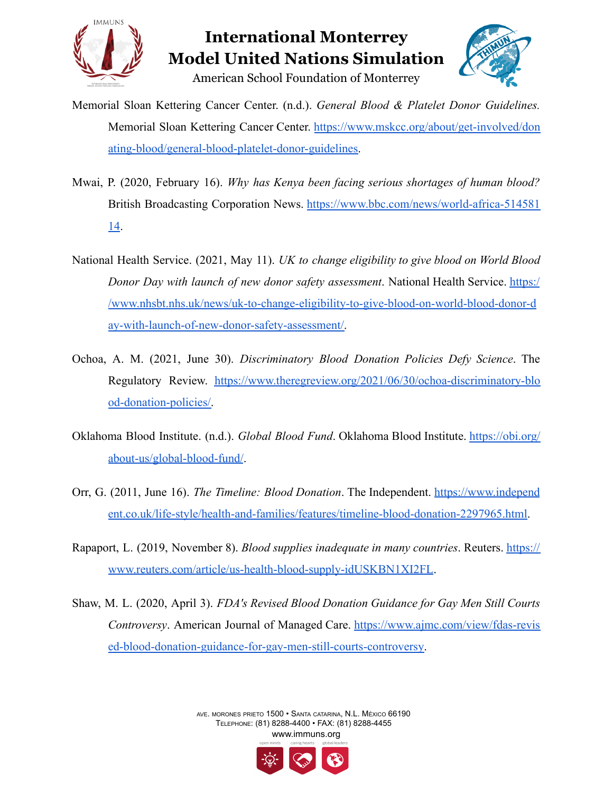

### **International Monterrey Model United Nations Simulation** American School Foundation of Monterrey



Memorial Sloan Kettering Cancer Center. (n.d.). *General Blood & Platelet Donor Guidelines.* Memorial Sloan Kettering Cancer Center. [https://www.mskcc.org/about/get-involved/don](https://www.mskcc.org/about/get-involved/donating-blood/general-blood-platelet-donor-guidelines) [ating-blood/general-blood-platelet-donor-guidelines.](https://www.mskcc.org/about/get-involved/donating-blood/general-blood-platelet-donor-guidelines)

- Mwai, P. (2020, February 16). *Why has Kenya been facing serious shortages of human blood?* British Broadcasting Corporation News. [https://www.bbc.com/news/world-africa-514581](https://www.bbc.com/news/world-africa-51458114) [14](https://www.bbc.com/news/world-africa-51458114).
- National Health Service. (2021, May 11). *UK to change eligibility to give blood on World Blood Donor Day with launch of new donor safety assessment*. National Health Service. [https:/](https://www.nhsbt.nhs.uk/news/uk-to-change-eligibility-to-give-blood-on-world-blood-donor-day-with-launch-of-new-donor-safety-assessment/) [/](https://www.nhsbt.nhs.uk/news/uk-to-change-eligibility-to-give-blood-on-world-blood-donor-day-with-launch-of-new-donor-safety-assessment/)[www.nhsbt.nhs.uk/news/uk-to-change-eligibility-to-give-blood-on-world-blood-donor-d](http://www.nhsbt.nhs.uk/news/uk-to-change-eligibility-to-give-blood-on-world-blood-donor-day-with-launch-of-new-donor-safety-assessment/) [ay-with-launch-of-new-donor-safety-assessment/.](http://www.nhsbt.nhs.uk/news/uk-to-change-eligibility-to-give-blood-on-world-blood-donor-day-with-launch-of-new-donor-safety-assessment/)
- Ochoa, A. M. (2021, June 30). *Discriminatory Blood Donation Policies Defy Science*. The Regulatory Review. [https://www.theregreview.org/2021/06/30/ochoa-discriminatory-blo](https://www.theregreview.org/2021/06/30/ochoa-discriminatory-blood-donation-policies/) [od-donation-policies/.](https://www.theregreview.org/2021/06/30/ochoa-discriminatory-blood-donation-policies/)
- Oklahoma Blood Institute. (n.d.). *Global Blood Fund*. Oklahoma Blood Institute. [https://obi.org/](https://obi.org/about-us/global-blood-fund/) [about-us/global-blood-fund/](https://obi.org/about-us/global-blood-fund/).
- Orr, G. (2011, June 16). *The Timeline: Blood Donation*. The Independent. [https://www.independ](https://www.independent.co.uk/life-style/health-and-families/features/timeline-blood-donation-2297965.html) [ent.co.uk/life-style/health-and-families/features/timeline-blood-donation-2297965.html.](https://www.independent.co.uk/life-style/health-and-families/features/timeline-blood-donation-2297965.html)
- Rapaport, L. (2019, November 8). *Blood supplies inadequate in many countries*. Reuters. [https://](https://www.reuters.com/article/us-health-blood-supply-idUSKBN1XI2FL) [www.reuters.com/article/us-health-blood-supply-idUSKBN1XI2FL](https://www.reuters.com/article/us-health-blood-supply-idUSKBN1XI2FL).
- Shaw, M. L. (2020, April 3). *FDA's Revised Blood Donation Guidance for Gay Men Still Courts Controversy*. American Journal of Managed Care. [https://www.ajmc.com/view/fdas-revis](https://www.ajmc.com/view/fdas-revised-blood-donation-guidance-for-gay-men-still-courts-controversy) [ed-blood-donation-guidance-for-gay-men-still-courts-controversy.](https://www.ajmc.com/view/fdas-revised-blood-donation-guidance-for-gay-men-still-courts-controversy)

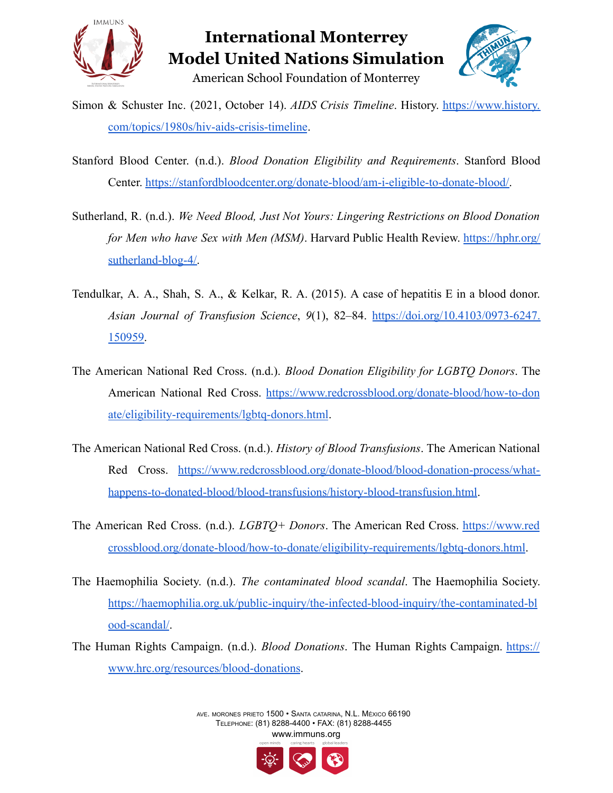

### **International Monterrey Model United Nations Simulation** American School Foundation of Monterrey



- Simon & Schuster Inc. (2021, October 14). *AIDS Crisis Timeline*. History. [https://www.history.](https://www.history.com/topics/1980s/hiv-aids-crisis-timeline) [com/topics/1980s/hiv-aids-crisis-timeline](https://www.history.com/topics/1980s/hiv-aids-crisis-timeline).
- Stanford Blood Center. (n.d.). *Blood Donation Eligibility and Requirements*. Stanford Blood Center. [https://stanfordbloodcenter.org/donate-blood/am-i-eligible-to-donate-blood/.](https://stanfordbloodcenter.org/donate-blood/am-i-eligible-to-donate-blood/)
- Sutherland, R. (n.d.). *We Need Blood, Just Not Yours: Lingering Restrictions on Blood Donation for Men who have Sex with Men (MSM)*. Harvard Public Health Review. [https://hphr.org/](https://hphr.org/sutherland-blog-4/) [sutherland-blog-4/.](https://hphr.org/sutherland-blog-4/)
- Tendulkar, A. A., Shah, S. A., & Kelkar, R. A. (2015). A case of hepatitis E in a blood donor. *Asian Journal of Transfusion Science*, *9*(1), 82–84. [https://doi.org/10.4103/0973-6247.](https://doi.org/10.4103/0973-6247.150959) [150959](https://doi.org/10.4103/0973-6247.150959).
- The American National Red Cross. (n.d.). *Blood Donation Eligibility for LGBTQ Donors*. The American National Red Cross. [https://www.redcrossblood.org/donate-blood/how-to-don](https://www.redcrossblood.org/donate-blood/how-to-donate/eligibility-requirements/lgbtq-donors.html) [ate/eligibility-requirements/lgbtq-donors.html](https://www.redcrossblood.org/donate-blood/how-to-donate/eligibility-requirements/lgbtq-donors.html).
- The American National Red Cross. (n.d.). *History of Blood Transfusions*. The American National Red Cross. [https://www.redcrossblood.org/donate-blood/blood-donation-process/what](https://www.redcrossblood.org/donate-blood/blood-donation-process/what-happens-to-donated-blood/blood-transfusions/history-blood-transfusion.html)[happens-to-donated-blood/blood-transfusions/history-blood-transfusion.html.](https://www.redcrossblood.org/donate-blood/blood-donation-process/what-happens-to-donated-blood/blood-transfusions/history-blood-transfusion.html)
- The American Red Cross. (n.d.). *LGBTQ+ Donors*. The American Red Cross. [https://www.red](https://www.redcrossblood.org/donate-blood/how-to-donate/eligibility-requirements/lgbtq-donors.html) [crossblood.org/donate-blood/how-to-donate/eligibility-requirements/lgbtq-donors.html](https://www.redcrossblood.org/donate-blood/how-to-donate/eligibility-requirements/lgbtq-donors.html).
- The Haemophilia Society. (n.d.). *The contaminated blood scandal*. The Haemophilia Society. [https://haemophilia.org.uk/public-inquiry/the-infected-blood-inquiry/the-contaminated-bl](https://haemophilia.org.uk/public-inquiry/the-infected-blood-inquiry/the-contaminated-blood-scandal/) [ood-scandal/](https://haemophilia.org.uk/public-inquiry/the-infected-blood-inquiry/the-contaminated-blood-scandal/).
- The Human Rights Campaign. (n.d.). *Blood Donations*. The Human Rights Campaign. [https://](https://www.hrc.org/resources/blood-donations) [www.hrc.org/resources/blood-donations](https://www.hrc.org/resources/blood-donations).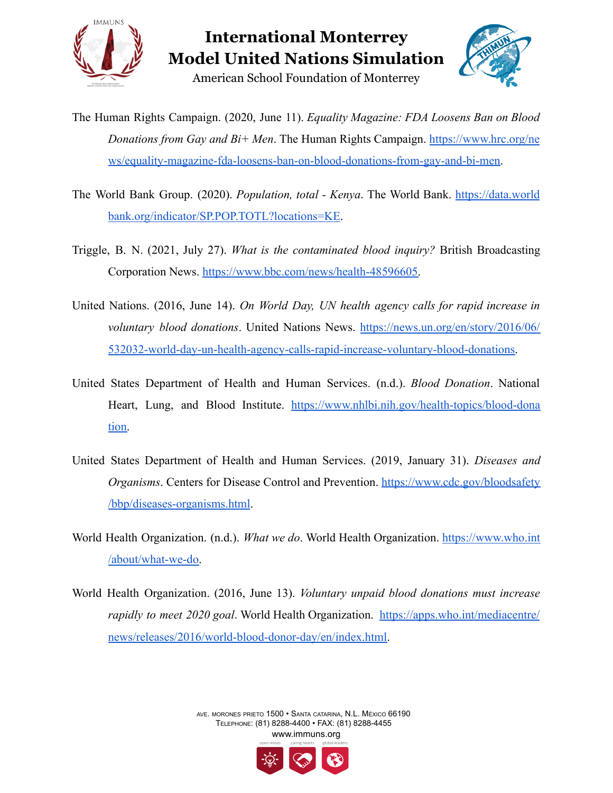

American School Foundation of Monterrey



- The Human Rights Campaign. (2020, June 11). *Equality Magazine: FDA Loosens Ban on Blood Donations from Gay and Bi+ Men*. The Human Rights Campaign. [https://www.hrc.org/ne](https://www.hrc.org/news/equality-magazine-fda-loosens-ban-on-blood-donations-from-gay-and-bi-men) [ws/equality-magazine-fda-loosens-ban-on-blood-donations-from-gay-and-bi-men.](https://www.hrc.org/news/equality-magazine-fda-loosens-ban-on-blood-donations-from-gay-and-bi-men)
- The World Bank Group. (2020). *Population, total - Kenya*. The World Bank. [https://data.world](https://data.worldbank.org/indicator/SP.POP.TOTL?locations=KE) [bank.org/indicator/SP.POP.TOTL?locations=KE.](https://data.worldbank.org/indicator/SP.POP.TOTL?locations=KE)
- Triggle, B. N. (2021, July 27). *What is the contaminated blood inquiry?* British Broadcasting Corporation News. [https://www.bbc.com/news/health-48596605.](https://www.bbc.com/news/health-48596605)
- United Nations. (2016, June 14). *On World Day, UN health agency calls for rapid increase in voluntary blood donations*. United Nations News. [https://news.un.org/en/story/2016/06/](https://news.un.org/en/story/2016/06/532032-world-day-un-health-agency-calls-rapid-increase-voluntary-blood-donations) [532032-world-day-un-health-agency-calls-rapid-increase-voluntary-blood-donations.](https://news.un.org/en/story/2016/06/532032-world-day-un-health-agency-calls-rapid-increase-voluntary-blood-donations)
- United States Department of Health and Human Services. (n.d.). *Blood Donation*. National Heart, Lung, and Blood Institute. [https://www.nhlbi.nih.gov/health-topics/blood-dona](https://www.nhlbi.nih.gov/health-topics/blood-donation) [tion.](https://www.nhlbi.nih.gov/health-topics/blood-donation)
- United States Department of Health and Human Services. (2019, January 31). *Diseases and Organisms*. Centers for Disease Control and Prevention. [https://www.cdc.gov/bloodsafety](https://www.cdc.gov/bloodsafety/bbp/diseases-organisms.html) [/bbp/diseases-organisms.html](https://www.cdc.gov/bloodsafety/bbp/diseases-organisms.html).
- World Health Organization. (n.d.). *What we do*. World Health Organization. [https://www.who.int](https://www.who.int/about/what-we-do) [/about/what-we-do.](https://www.who.int/about/what-we-do)
- World Health Organization. (2016, June 13). *Voluntary unpaid blood donations must increase rapidly to meet 2020 goal*. World Health Organization. [https://apps.who.int/mediacentre/](https://apps.who.int/mediacentre/news/releases/2016/world-blood-donor-day/en/index.html) [news/releases/2016/world-blood-donor-day/en/index.html.](https://apps.who.int/mediacentre/news/releases/2016/world-blood-donor-day/en/index.html)